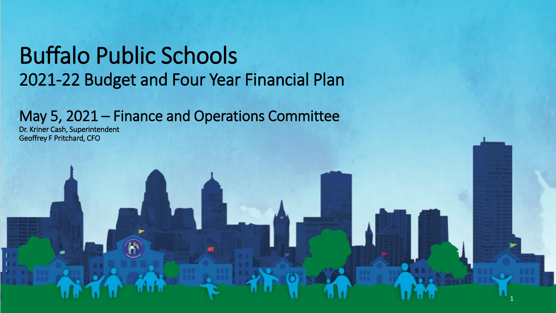#### Buffalo Public Schools 2021-22 Budget and Four Year Financial Plan

#### May 5, 2021 – Finance and Operations Committee

1

Dr. Kriner Cash, Superintendent Geoffrey F Pritchard, CFO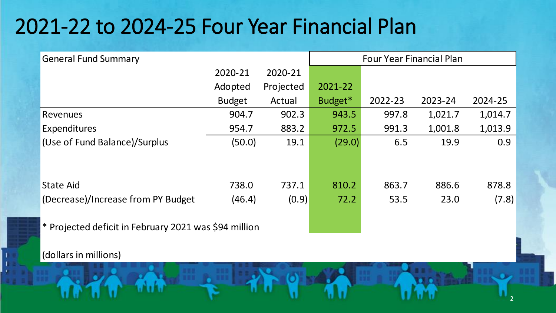#### 2021-22 to 2024-25 Four Year Financial Plan

| <b>General Fund Summary</b>                           | <b>Four Year Financial Plan</b> |           |         |         |         |         |
|-------------------------------------------------------|---------------------------------|-----------|---------|---------|---------|---------|
|                                                       | 2020-21                         | 2020-21   |         |         |         |         |
|                                                       | Adopted                         | Projected | 2021-22 |         |         |         |
|                                                       | <b>Budget</b>                   | Actual    | Budget* | 2022-23 | 2023-24 | 2024-25 |
| Revenues                                              | 904.7                           | 902.3     | 943.5   | 997.8   | 1,021.7 | 1,014.7 |
| Expenditures                                          | 954.7                           | 883.2     | 972.5   | 991.3   | 1,001.8 | 1,013.9 |
| (Use of Fund Balance)/Surplus                         | (50.0)                          | 19.1      | (29.0)  | 6.5     | 19.9    | 0.9     |
|                                                       |                                 |           |         |         |         |         |
|                                                       |                                 |           |         |         |         |         |
| <b>State Aid</b>                                      | 738.0                           | 737.1     | 810.2   | 863.7   | 886.6   | 878.8   |
| (Decrease)/Increase from PY Budget                    | (46.4)                          | (0.9)     | 72.2    | 53.5    | 23.0    | (7.8)   |
|                                                       |                                 |           |         |         |         |         |
| * Projected deficit in February 2021 was \$94 million |                                 |           |         |         |         |         |

2

(dollars in millions)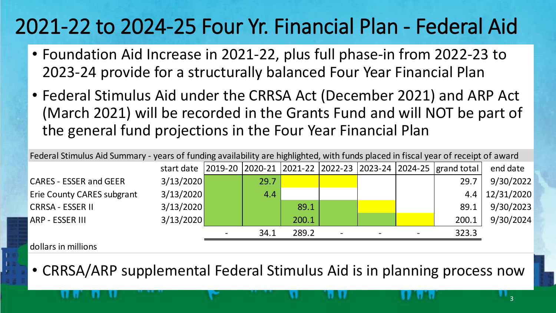# 2021-22 to 2024-25 Four Yr. Financial Plan - Federal Aid

- Foundation Aid Increase in 2021-22, plus full phase-in from 2022-23 to 2023-24 provide for a structurally balanced Four Year Financial Plan
- Federal Stimulus Aid under the CRRSA Act (December 2021) and ARP Act (March 2021) will be recorded in the Grants Fund and will NOT be part of the general fund projections in the Four Year Financial Plan

| Federal Stimulus Aid Summary - years of funding availability are highlighted, with funds placed in fiscal year of receipt of award |           |  |      |       |  |  |  |                                                                                      |                       |
|------------------------------------------------------------------------------------------------------------------------------------|-----------|--|------|-------|--|--|--|--------------------------------------------------------------------------------------|-----------------------|
|                                                                                                                                    |           |  |      |       |  |  |  | start date   2019-20   2020-21   2021-22   2022-23   2023-24   2024-25   grand total | end date              |
| <b>CARES - ESSER and GEER</b>                                                                                                      | 3/13/2020 |  | 29.7 |       |  |  |  | 29.7                                                                                 | 9/30/2022             |
| <b>Erie County CARES subgrant</b>                                                                                                  | 3/13/2020 |  | 4.4  |       |  |  |  |                                                                                      | $4.4 \mid 12/31/2020$ |
| <b>CRRSA - ESSER II</b>                                                                                                            | 3/13/2020 |  |      | 89.1  |  |  |  | 89.1                                                                                 | 9/30/2023             |
| <b>ARP - ESSER III</b>                                                                                                             | 3/13/2020 |  |      | 200.1 |  |  |  | 200.1                                                                                | 9/30/2024             |
|                                                                                                                                    |           |  | 34.1 | 289.2 |  |  |  | 323.3                                                                                |                       |

dollars in millions

• CRRSA/ARP supplemental Federal Stimulus Aid is in planning process now

3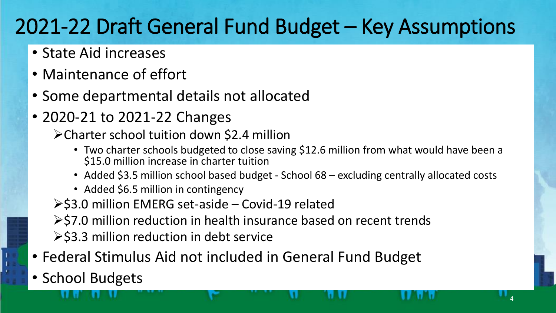## 2021-22 Draft General Fund Budget – Key Assumptions

- State Aid increases
- Maintenance of effort
- Some departmental details not allocated
- 2020-21 to 2021-22 Changes
	- Charter school tuition down \$2.4 million
		- Two charter schools budgeted to close saving \$12.6 million from what would have been a \$15.0 million increase in charter tuition

4

- Added \$3.5 million school based budget School 68 excluding centrally allocated costs
- Added \$6.5 million in contingency
- $\ge$ \$3.0 million EMERG set-aside Covid-19 related
- $\ge$ \$7.0 million reduction in health insurance based on recent trends ▶ \$3.3 million reduction in debt service
- Federal Stimulus Aid not included in General Fund Budget
- School Budgets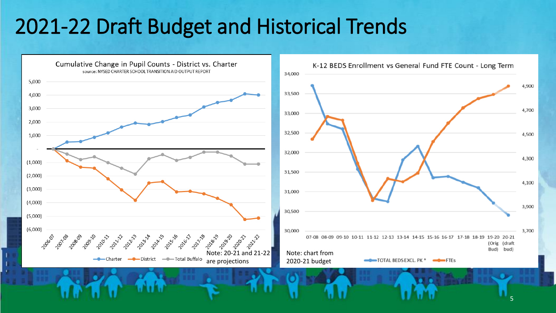#### 2021-22 Draft Budget and Historical Trends



<sup>5</sup>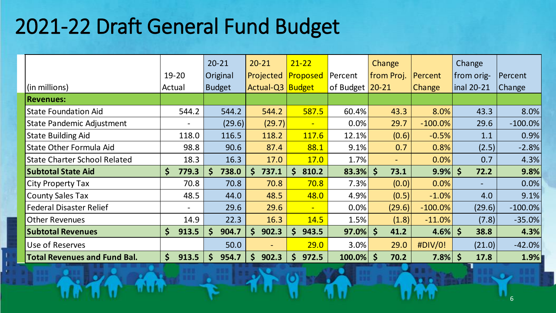## 2021-22 Draft General Fund Budget

|                                     |                          | $20 - 21$     | $20 - 21$             | $21 - 22$             |                 | Change               |               | Change               |            |
|-------------------------------------|--------------------------|---------------|-----------------------|-----------------------|-----------------|----------------------|---------------|----------------------|------------|
|                                     | $19 - 20$                | Original      | Projected             | Proposed              | Percent         | from Proj.           | Percent       | from orig-           | Percent    |
| (in millions)                       | Actual                   | <b>Budget</b> | Actual-Q3 Budget      |                       | of Budget 20-21 |                      | <b>Change</b> | $\ln 20-21$          | Change     |
| <b>Revenues:</b>                    |                          |               |                       |                       |                 |                      |               |                      |            |
| <b>State Foundation Aid</b>         | 544.2                    | 544.2         | 544.2                 | 587.5                 | 60.4%           | 43.3                 | 8.0%          | 43.3                 | 8.0%       |
| <b>State Pandemic Adjustment</b>    | $\overline{\phantom{a}}$ | (29.6)        | (29.7)                | $\blacksquare$        | 0.0%            | 29.7                 | $-100.0\%$    | 29.6                 | $-100.0\%$ |
| <b>State Building Aid</b>           | 118.0                    | 116.5         | 118.2                 | 117.6                 | 12.1%           | (0.6)                | $-0.5%$       | 1.1                  | 0.9%       |
| <b>State Other Formula Aid</b>      | 98.8                     | 90.6          | 87.4                  | 88.1                  | 9.1%            | 0.7                  | 0.8%          | (2.5)                | $-2.8%$    |
| <b>State Charter School Related</b> | 18.3                     | 16.3          | 17.0                  | 17.0                  | 1.7%            |                      | 0.0%          | 0.7                  | 4.3%       |
| <b>Subtotal State Aid</b>           | \$<br>779.3              | 738.0<br>\$   | 737.1<br>\$.          | $\mathsf{S}$<br>810.2 | $83.3\%$ \$     | 73.1                 | $9.9\%$ \$    | 72.2                 | 9.8%       |
| <b>City Property Tax</b>            | 70.8                     | 70.8          | 70.8                  | 70.8                  | $7.3\%$         | (0.0)                | 0.0%          | $\sim$               | 0.0%       |
| <b>County Sales Tax</b>             | 48.5                     | 44.0          | 48.5                  | 48.0                  | 4.9%            | (0.5)                | $-1.0%$       | 4.0                  | 9.1%       |
| <b>Federal Disaster Relief</b>      | $\overline{\phantom{0}}$ | 29.6          | 29.6                  | $\blacksquare$        | 0.0%            | (29.6)               | $-100.0\%$    | (29.6)               | $-100.0\%$ |
| <b>Other Revenues</b>               | 14.9                     | 22.3          | 16.3                  | 14.5                  | 1.5%            | (1.8)                | $-11.0%$      | (7.8)                | $-35.0%$   |
| <b>Subtotal Revenues</b>            | \$<br>913.5              | \$<br>904.7   | $\mathsf{S}$<br>902.3 | \$.<br>943.5          | $97.0\%$        | $\mathsf{S}$<br>41.2 | 4.6%          | $\mathsf{S}$<br>38.8 | 4.3%       |
| Use of Reserves                     |                          | 50.0          | ٠                     | 29.0                  | $3.0\%$         | 29.0                 | #DIV/0!       | (21.0)               | $-42.0%$   |
| <b>Total Revenues and Fund Bal.</b> | $\mathsf{S}$<br>913.5    | \$<br>954.7   | \$.<br>902.3          | 972.5<br>\$           | $100.0\%$ \$    | 70.2                 | $7.8\%$ \$    | 17.8                 | 1.9%       |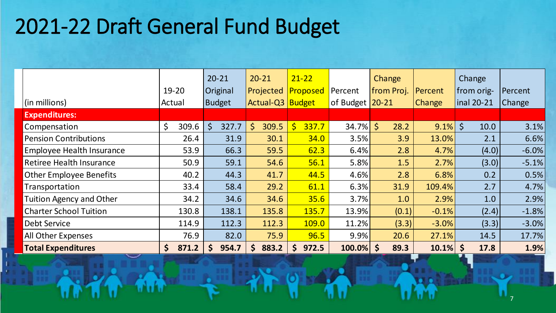# 2021-22 Draft General Fund Budget

|                                  |                       | $20 - 21$             | $20 - 21$             | $21 - 22$             |                   | Change     |               | Change          |               |
|----------------------------------|-----------------------|-----------------------|-----------------------|-----------------------|-------------------|------------|---------------|-----------------|---------------|
|                                  | $19 - 20$             | Original              | Projected             | Proposed              | Percent           | from Proj. | Percent       | from orig-      | Percent       |
| $\vert$ (in millions)            | Actual                | Budget                | Actual-Q3 Budget      |                       | of Budget $20-21$ |            | <b>Change</b> | $\ln 20-21$     | <b>Change</b> |
| <b>Expenditures:</b>             |                       |                       |                       |                       |                   |            |               |                 |               |
| Compensation                     | \$<br>309.6           | \$<br>327.7           | \$<br>309.5           | 337.7<br>\$           | <b>34.7%</b>      | \$<br>28.2 | 9.1%          | $\zeta$<br>10.0 | 3.1%          |
| <b>Pension Contributions</b>     | 26.4                  | 31.9                  | 30.1                  | 34.0                  | 3.5%              | 3.9        | 13.0%         | 2.1             | 6.6%          |
| <b>Employee Health Insurance</b> | 53.9                  | 66.3                  | 59.5                  | 62.3                  | 6.4%              | 2.8        | 4.7%          | (4.0)           | $-6.0\%$      |
| <b>Retiree Health Insurance</b>  | 50.9                  | 59.1                  | 54.6                  | 56.1                  | 5.8%              | 1.5        | 2.7%          | (3.0)           | $-5.1\%$      |
| <b>Other Employee Benefits</b>   | 40.2                  | 44.3                  | 41.7                  | 44.5                  | 4.6%              | 2.8        | 6.8%          | 0.2             | 0.5%          |
| Transportation                   | 33.4                  | 58.4                  | 29.2                  | 61.1                  | 6.3%              | 31.9       | 109.4%        | 2.7             | 4.7%          |
| Tuition Agency and Other         | 34.2                  | 34.6                  | 34.6                  | 35.6                  | 3.7%              | 1.0        | 2.9%          | 1.0             | 2.9%          |
| <b>Charter School Tuition</b>    | 130.8                 | 138.1                 | 135.8                 | 135.7                 | 13.9%             | (0.1)      | $-0.1%$       | (2.4)           | $-1.8%$       |
| <b>Debt Service</b>              | 114.9                 | 112.3                 | 112.3                 | 109.0                 | 11.2%             | (3.3)      | $-3.0\%$      | (3.3)           | $-3.0\%$      |
| All Other Expenses               | 76.9                  | 82.0                  | 75.9                  | 96.5                  | 9.9%              | 20.6       | 27.1%         | 14.5            | 17.7%         |
| <b>Total Expenditures</b>        | $\mathsf{S}$<br>871.2 | 954.7<br>$\mathsf{S}$ | 883.2<br>$\mathsf{S}$ | 972.5<br>$\mathsf{S}$ | $100.0\%$ \$      | 89.3       | $10.1\%$ \$   | 17.8            | 1.9%          |

7